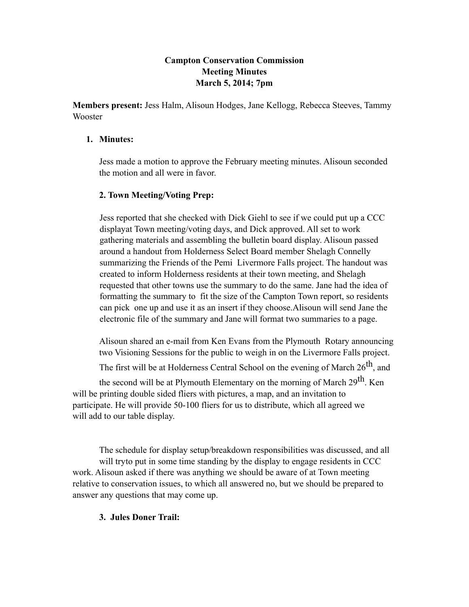## **Campton Conservation Commission Meeting Minutes March 5, 2014; 7pm**

**Members present:** Jess Halm, Alisoun Hodges, Jane Kellogg, Rebecca Steeves, Tammy Wooster

### **1. Minutes:**

Jess made a motion to approve the February meeting minutes. Alisoun seconded the motion and all were in favor.

## **2. Town Meeting/Voting Prep:**

Jess reported that she checked with Dick Giehl to see if we could put up a CCC displayat Town meeting/voting days, and Dick approved. All set to work gathering materials and assembling the bulletin board display. Alisoun passed around a handout from Holderness Select Board member Shelagh Connelly summarizing the Friends of the Pemi Livermore Falls project. The handout was created to inform Holderness residents at their town meeting, and Shelagh requested that other towns use the summary to do the same. Jane had the idea of formatting the summary to fit the size of the Campton Town report, so residents can pick one up and use it as an insert if they choose.Alisoun will send Jane the electronic file of the summary and Jane will format two summaries to a page.

Alisoun shared an e-mail from Ken Evans from the Plymouth Rotary announcing two Visioning Sessions for the public to weigh in on the Livermore Falls project.

The first will be at Holderness Central School on the evening of March  $26^{th}$ , and

the second will be at Plymouth Elementary on the morning of March 29<sup>th</sup>. Ken will be printing double sided fliers with pictures, a map, and an invitation to participate. He will provide 50-100 fliers for us to distribute, which all agreed we will add to our table display.

The schedule for display setup/breakdown responsibilities was discussed, and all will tryto put in some time standing by the display to engage residents in CCC work. Alisoun asked if there was anything we should be aware of at Town meeting relative to conservation issues, to which all answered no, but we should be prepared to answer any questions that may come up.

## **3. Jules Doner Trail:**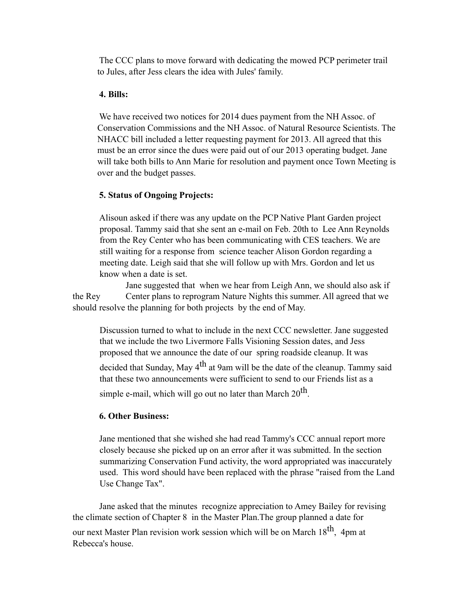The CCC plans to move forward with dedicating the mowed PCP perimeter trail to Jules, after Jess clears the idea with Jules' family.

#### **4. Bills:**

We have received two notices for 2014 dues payment from the NH Assoc. of Conservation Commissions and the NH Assoc. of Natural Resource Scientists. The NHACC bill included a letter requesting payment for 2013. All agreed that this must be an error since the dues were paid out of our 2013 operating budget. Jane will take both bills to Ann Marie for resolution and payment once Town Meeting is over and the budget passes.

#### **5. Status of Ongoing Projects:**

Alisoun asked if there was any update on the PCP Native Plant Garden project proposal. Tammy said that she sent an e-mail on Feb. 20th to Lee Ann Reynolds from the Rey Center who has been communicating with CES teachers. We are still waiting for a response from science teacher Alison Gordon regarding a meeting date. Leigh said that she will follow up with Mrs. Gordon and let us know when a date is set.

Jane suggested that when we hear from Leigh Ann, we should also ask if the Rey Center plans to reprogram Nature Nights this summer. All agreed that we should resolve the planning for both projects by the end of May.

Discussion turned to what to include in the next CCC newsletter. Jane suggested that we include the two Livermore Falls Visioning Session dates, and Jess proposed that we announce the date of our spring roadside cleanup. It was decided that Sunday, May  $4<sup>th</sup>$  at 9am will be the date of the cleanup. Tammy said that these two announcements were sufficient to send to our Friends list as a simple e-mail, which will go out no later than March  $20<sup>th</sup>$ .

## **6. Other Business:**

Jane mentioned that she wished she had read Tammy's CCC annual report more closely because she picked up on an error after it was submitted. In the section summarizing Conservation Fund activity, the word appropriated was inaccurately used. This word should have been replaced with the phrase "raised from the Land Use Change Tax".

Jane asked that the minutes recognize appreciation to Amey Bailey for revising the climate section of Chapter 8 in the Master Plan.The group planned a date for our next Master Plan revision work session which will be on March 18<sup>th</sup>. 4pm at Rebecca's house.